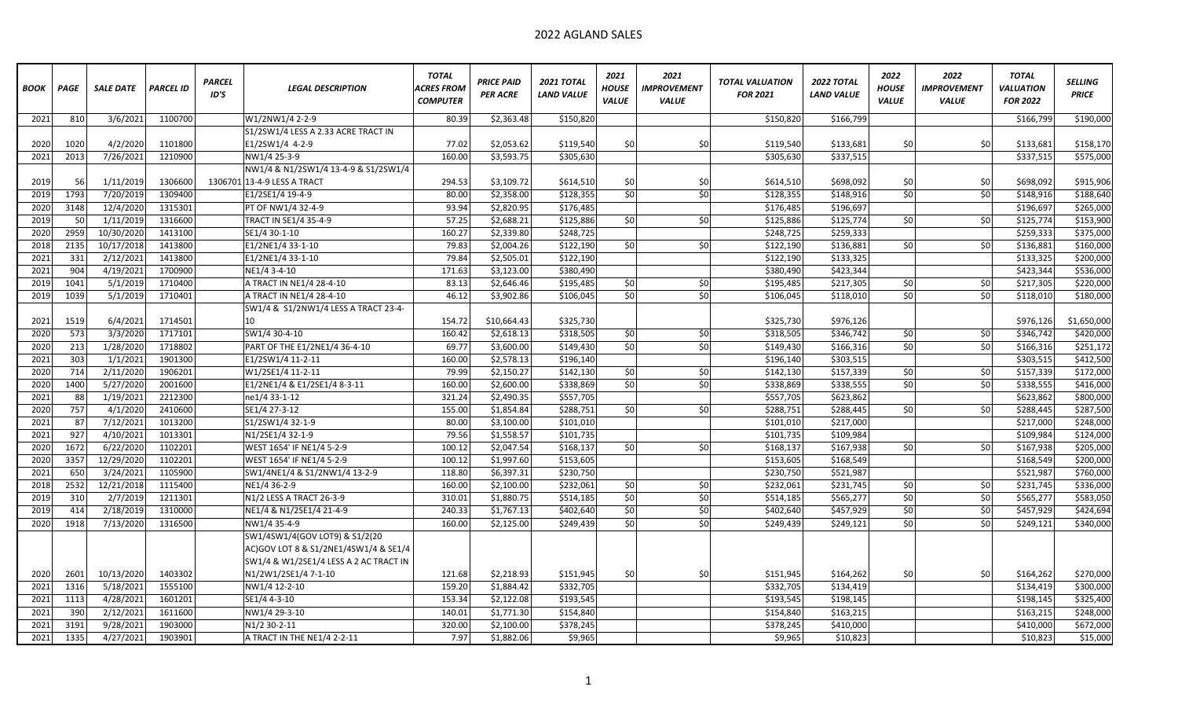## 2022 AGLAND SALES

| <b>BOOK</b> | <b>PAGE</b> | <b>SALE DATE</b> | <b>PARCEL ID</b> | <b>PARCEL</b><br>ID'S | <b>LEGAL DESCRIPTION</b>               | <b>TOTAL</b><br>ACRES FROM<br><b>COMPUTER</b> | <b>PRICE PAID</b><br>PER ACRE | <b>2021 TOTAL</b><br><b>LAND VALUE</b> | 2021<br><b>HOUSE</b><br><b>VALUE</b> | 2021<br><b>IMPROVEMENT</b><br><b>VALUE</b> | <b>TOTAL VALUATION</b><br><b>FOR 2021</b> | <b>2022 TOTAL</b><br><b>LAND VALUE</b> | 2022<br><b>HOUSE</b><br><b>VALUE</b> | 2022<br><b>IMPROVEMENT</b><br><b>VALUE</b> | <b>TOTAL</b><br><b>VALUATION</b><br><b>FOR 2022</b> | <b>SELLING</b><br><b>PRICE</b> |
|-------------|-------------|------------------|------------------|-----------------------|----------------------------------------|-----------------------------------------------|-------------------------------|----------------------------------------|--------------------------------------|--------------------------------------------|-------------------------------------------|----------------------------------------|--------------------------------------|--------------------------------------------|-----------------------------------------------------|--------------------------------|
| 2021        | 810         | 3/6/2021         | 1100700          |                       | W1/2NW1/4 2-2-9                        | 80.39                                         | \$2,363.48                    | \$150,820                              |                                      |                                            | \$150,820                                 | \$166,799                              |                                      |                                            | \$166,799                                           | \$190,000                      |
|             |             |                  |                  |                       | S1/2SW1/4 LESS A 2.33 ACRE TRACT IN    |                                               |                               |                                        |                                      |                                            |                                           |                                        |                                      |                                            |                                                     |                                |
| 2020        | 1020        | 4/2/2020         | 1101800          |                       | E1/2SW1/4 4-2-9                        | 77.02                                         | \$2,053.62                    | \$119,540                              | \$0                                  | \$0                                        | \$119,540                                 | \$133,681                              | \$0                                  | \$0                                        | \$133,681                                           | \$158,170                      |
| 2021        | 2013        | 7/26/2021        | 1210900          |                       | NW1/4 25-3-9                           | 160.00                                        | \$3,593.75                    | \$305,630                              |                                      |                                            | \$305,630                                 | \$337,515                              |                                      |                                            | \$337,515                                           | \$575,000                      |
|             |             |                  |                  |                       | NW1/4 & N1/2SW1/4 13-4-9 & S1/2SW1/4   |                                               |                               |                                        |                                      |                                            |                                           |                                        |                                      |                                            |                                                     |                                |
| 2019        | 56          | 1/11/2019        | 1306600          |                       | 1306701 13-4-9 LESS A TRACT            | 294.53                                        | \$3,109.72                    | \$614,510                              | \$0                                  | \$0                                        | \$614,510                                 | \$698,092                              | \$0                                  | \$0                                        | \$698,092                                           | \$915,906                      |
| 2019        | 1793        | 7/20/2019        | 1309400          |                       | E1/2SE1/4 19-4-9                       | 80.00                                         | \$2,358.00                    | \$128,355                              | \$0                                  | \$0                                        | \$128,355                                 | \$148,916                              | \$0                                  | \$0                                        | \$148,916                                           | \$188,640                      |
| 2020        | 3148        | 12/4/2020        | 1315301          |                       | PT OF NW1/4 32-4-9                     | 93.94                                         | \$2,820.95                    | \$176,485                              |                                      |                                            | \$176,485                                 | \$196,697                              |                                      |                                            | \$196,697                                           | \$265,000                      |
| 2019        | 50          | 1/11/2019        | 1316600          |                       | TRACT IN SE1/4 35-4-9                  | 57.25                                         | \$2,688.21                    | \$125,886                              | \$0                                  | \$0                                        | \$125,886                                 | \$125,774                              | \$0                                  | \$0                                        | \$125,774                                           | $\overline{$}153,900$          |
| 2020        | 2959        | 10/30/2020       | 1413100          |                       | SE1/4 30-1-10                          | 160.27                                        | \$2,339.80                    | \$248,725                              |                                      |                                            | \$248,725                                 | \$259,333                              |                                      |                                            | \$259,333                                           | \$375,000                      |
| 2018        | 2135        | 10/17/2018       | 1413800          |                       | E1/2NE1/4 33-1-10                      | 79.83                                         | \$2,004.26                    | \$122,190                              | \$0                                  | \$0                                        | \$122,190                                 | \$136,881                              | \$0                                  | \$0                                        | \$136,881                                           | \$160,000                      |
| 2021        | 331         | 2/12/2021        | 1413800          |                       | E1/2NE1/4 33-1-10                      | 79.84                                         | \$2,505.01                    | \$122,190                              |                                      |                                            | \$122,190                                 | \$133,325                              |                                      |                                            | \$133,325                                           | \$200,000                      |
| 2021        | 904         | 4/19/2021        | 1700900          |                       | NE1/4 3-4-10                           | 171.63                                        | \$3,123.00                    | \$380,490                              |                                      |                                            | \$380,490                                 | \$423,344                              |                                      |                                            | \$423,344                                           | \$536,000                      |
| 2019        | 1041        | 5/1/2019         | 1710400          |                       | A TRACT IN NE1/4 28-4-10               | 83.13                                         | \$2,646.46                    | \$195,485                              | \$0                                  | \$0                                        | \$195,485                                 | \$217,305                              | \$0                                  | \$0                                        | \$217,305                                           | \$220,000                      |
| 2019        | 1039        | 5/1/2019         | 1710401          |                       | A TRACT IN NE1/4 28-4-10               | 46.12                                         | \$3,902.86                    | \$106,045                              | \$0                                  | \$0                                        | \$106,045                                 | \$118,010                              | \$0                                  | \$0                                        | \$118,010                                           | \$180,000                      |
|             |             |                  |                  |                       | SW1/4 & S1/2NW1/4 LESS A TRACT 23-4-   |                                               |                               |                                        |                                      |                                            |                                           |                                        |                                      |                                            |                                                     |                                |
| 2021        | 1519        | 6/4/2021         | 1714501          |                       | 10                                     | 154.72                                        | \$10,664.43                   | \$325,730                              |                                      |                                            | \$325,730                                 | \$976,126                              |                                      |                                            | \$976,126                                           | \$1,650,000                    |
| 2020        | 573         | 3/3/2020         | 1717101          |                       | SW1/4 30-4-10                          | 160.42                                        | \$2,618.13                    | \$318,505                              | \$0                                  | \$0                                        | \$318,505                                 | \$346,742                              | \$0                                  | \$0                                        | \$346,742                                           | \$420,000                      |
| 2020        | 213         | 1/28/2020        | 1718802          |                       | PART OF THE E1/2NE1/4 36-4-10          | 69.77                                         | \$3,600.00                    | \$149,430                              | \$0                                  | \$0                                        | \$149,430                                 | \$166,316                              | \$0                                  | \$0                                        | \$166,316                                           | \$251,172                      |
| 2021        | 303         | 1/1/2021         | 1901300          |                       | E1/2SW1/4 11-2-11                      | 160.00                                        | \$2,578.13                    | \$196,140                              |                                      |                                            | \$196,140                                 | \$303,515                              |                                      |                                            | \$303,515                                           | \$412,500                      |
| 2020        | 714         | 2/11/2020        | 1906201          |                       | W1/2SE1/4 11-2-11                      | 79.99                                         | \$2,150.27                    | \$142,130                              | \$0                                  | \$0                                        | \$142,130                                 | \$157,339                              | \$0                                  | \$0                                        | \$157,339                                           | \$172,000                      |
| 2020        | 1400        | 5/27/2020        | 2001600          |                       | E1/2NE1/4 & E1/2SE1/4 8-3-11           | 160.00                                        | \$2,600.00                    | \$338,869                              | \$0                                  | \$0                                        | \$338,869                                 | \$338,555                              | \$0                                  | \$0                                        | \$338,555                                           | \$416,000                      |
| 2021        | 88          | 1/19/2021        | 2212300          |                       | ne1/4 33-1-12                          | 321.24                                        | \$2,490.35                    | \$557,705                              |                                      |                                            | \$557,705                                 | \$623,862                              |                                      |                                            | \$623,862                                           | \$800,000                      |
| 2020        | 757         | 4/1/2020         | 2410600          |                       | SE1/4 27-3-12                          | 155.00                                        | \$1,854.84                    | \$288,751                              | \$0                                  | \$0                                        | \$288,751                                 | \$288,445                              | \$0                                  | \$0                                        | \$288,445                                           | \$287,500                      |
| 2021        | 87          | 7/12/2021        | 1013200          |                       | S1/2SW1/4 32-1-9                       | 80.00                                         | \$3,100.00                    | \$101,010                              |                                      |                                            | \$101,010                                 | \$217,000                              |                                      |                                            | \$217,000                                           | \$248,000                      |
| 2021        | 927         | 4/10/2021        | 1013301          |                       | N1/2SE1/4 32-1-9                       | 79.56                                         | \$1,558.57                    | \$101,735                              |                                      |                                            | \$101,735                                 | \$109,984                              |                                      |                                            | \$109,984                                           | \$124,000                      |
| 2020        | 1672        | 6/22/2020        | 1102201          |                       | WEST 1654' IF NE1/4 5-2-9              | 100.12                                        | \$2,047.54                    | \$168,137                              | \$0                                  | \$0                                        | \$168,137                                 | \$167,938                              | \$0                                  | \$0                                        | \$167,938                                           | \$205,000                      |
| 2020        | 3357        | 12/29/2020       | 1102201          |                       | WEST 1654' IF NE1/4 5-2-9              | 100.12                                        | \$1,997.60                    | \$153,605                              |                                      |                                            | \$153,605                                 | \$168,549                              |                                      |                                            | \$168,549                                           | \$200,000                      |
| 2021        | 650         | 3/24/2021        | 1105900          |                       | SW1/4NE1/4 & S1/2NW1/4 13-2-9          | 118.80                                        | \$6,397.31                    | \$230,750                              |                                      |                                            | \$230,750                                 | \$521,987                              |                                      |                                            | \$521,987                                           | \$760,000                      |
| 2018        | 2532        | 12/21/2018       | 1115400          |                       | NE1/4 36-2-9                           | 160.00                                        | \$2,100.00                    | \$232,061                              | \$0                                  | \$0                                        | \$232,061                                 | \$231,745                              | \$0                                  | \$0                                        | \$231,745                                           | \$336,000                      |
| 2019        | 310         | 2/7/2019         | 1211301          |                       | N1/2 LESS A TRACT 26-3-9               | 310.01                                        | \$1,880.75                    | \$514,185                              | \$0                                  | \$0                                        | \$514,185                                 | \$565,277                              | \$0                                  | \$0                                        | \$565,277                                           | \$583,050                      |
| 2019        | 414         | 2/18/2019        | 1310000          |                       | NE1/4 & N1/2SE1/4 21-4-9               | 240.33                                        | \$1,767.13                    | \$402,640                              | \$0                                  | \$0                                        | \$402,640                                 | \$457,929                              | \$0                                  | \$0                                        | \$457,929                                           | \$424,694                      |
| 2020        | 1918        | 7/13/2020        | 1316500          |                       | NW1/4 35-4-9                           | 160.00                                        | \$2,125.00                    | \$249,439                              | \$0                                  | \$0                                        | \$249,439                                 | \$249,121                              | \$0                                  | \$0                                        | \$249,121                                           | \$340,000                      |
|             |             |                  |                  |                       | SW1/4SW1/4(GOV LOT9) & S1/2(20         |                                               |                               |                                        |                                      |                                            |                                           |                                        |                                      |                                            |                                                     |                                |
|             |             |                  |                  |                       | AC)GOV LOT 8 & S1/2NE1/4SW1/4 & SE1/4  |                                               |                               |                                        |                                      |                                            |                                           |                                        |                                      |                                            |                                                     |                                |
|             |             |                  |                  |                       | SW1/4 & W1/2SE1/4 LESS A 2 AC TRACT IN |                                               |                               |                                        |                                      |                                            |                                           |                                        |                                      |                                            |                                                     |                                |
| 2020        | 2601        | 10/13/2020       | 1403302          |                       | N1/2W1/2SE1/4 7-1-10                   | 121.68                                        | \$2,218.93                    | \$151,945                              | \$0                                  | \$0                                        | \$151,945                                 | \$164,262                              | \$0                                  | \$0                                        | \$164,262                                           | \$270,000                      |
| 2021        | 1316        | 5/18/2021        | 1555100          |                       | NW1/4 12-2-10                          | 159.20                                        | \$1,884.42                    | \$332,705                              |                                      |                                            | \$332,705                                 | \$134,419                              |                                      |                                            | \$134,419                                           | \$300,000                      |
| 2021        | 1113        | 4/28/2021        | 1601201          |                       | SE1/4 4-3-10                           | 153.34                                        | \$2,122.08                    | \$193,545                              |                                      |                                            | \$193,545                                 | \$198,145                              |                                      |                                            | \$198,145                                           | \$325,400                      |
| 2021        | 390         | 2/12/2021        | 1611600          |                       | NW1/4 29-3-10                          | 140.01                                        | \$1,771.30                    | \$154,840                              |                                      |                                            | \$154,840                                 | \$163,215                              |                                      |                                            | \$163,215                                           | \$248,000                      |
| 2021        | 3191        | 9/28/2021        | 1903000          |                       | N1/2 30-2-11                           | 320.00                                        | \$2,100.00                    | \$378,245                              |                                      |                                            | \$378,245                                 | \$410,000                              |                                      |                                            | \$410,000                                           | \$672,000                      |
| 2021        | 1335        | 4/27/2021        | 1903901          |                       | A TRACT IN THE NE1/4 2-2-11            | 7.97                                          | \$1,882.06                    | \$9,965                                |                                      |                                            | \$9,965                                   | \$10,823                               |                                      |                                            | \$10,823                                            | \$15,000                       |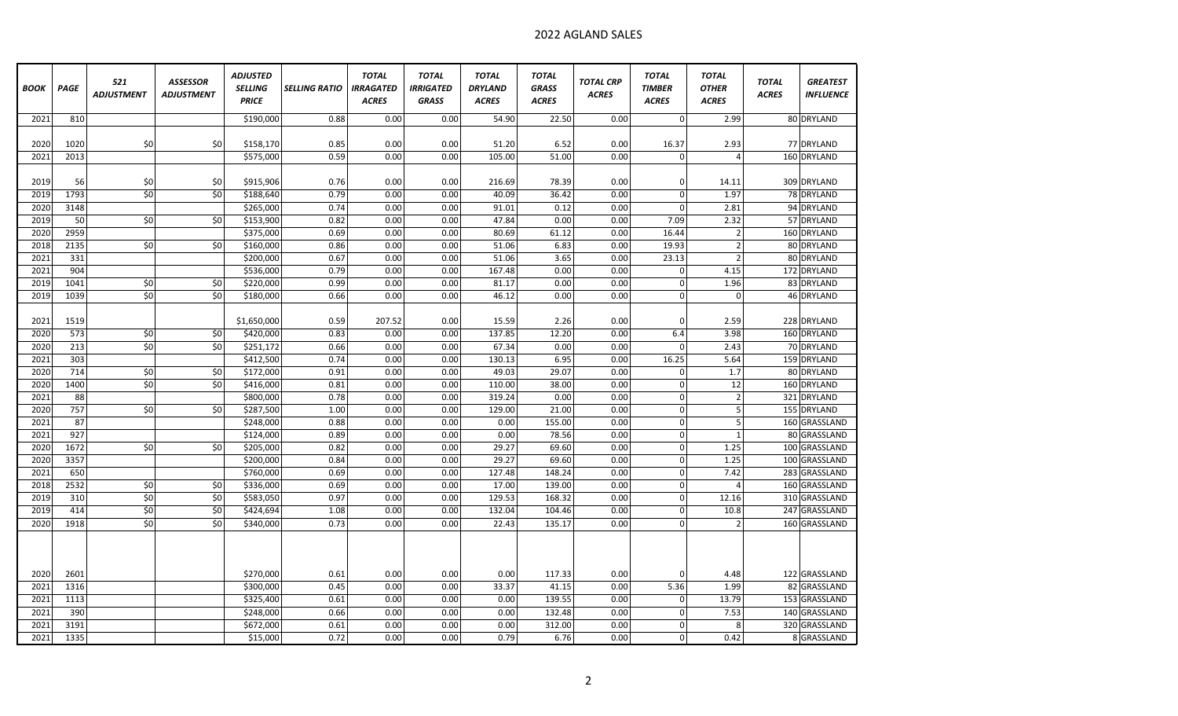| <b>BOOK</b> | PAGE | 521<br><b>ADJUSTMENT</b> | <b>ASSESSOR</b><br><b>ADJUSTMENT</b> | <b>ADJUSTED</b><br><b>SELLING</b><br><b>PRICE</b> | <b>SELLING RATIO</b> | <b>TOTAL</b><br><b>IRRAGATED</b><br><b>ACRES</b> | <b>TOTAL</b><br><b>IRRIGATED</b><br><b>GRASS</b> | <b>TOTAL</b><br><b>DRYLAND</b><br><b>ACRES</b> | <b>TOTAL</b><br><b>GRASS</b><br><b>ACRES</b> | <b>TOTAL CRP</b><br><b>ACRES</b> | <b>TOTAL</b><br><b>TIMBER</b><br><b>ACRES</b> | <b>TOTAL</b><br><b>OTHER</b><br><b>ACRES</b> | <b>TOTAL</b><br><b>ACRES</b> | <b>GREATEST</b><br><b>INFLUENCE</b> |
|-------------|------|--------------------------|--------------------------------------|---------------------------------------------------|----------------------|--------------------------------------------------|--------------------------------------------------|------------------------------------------------|----------------------------------------------|----------------------------------|-----------------------------------------------|----------------------------------------------|------------------------------|-------------------------------------|
| 2021        | 810  |                          |                                      | \$190,000                                         | 0.88                 | 0.00                                             | 0.00                                             | 54.90                                          | 22.50                                        | 0.00                             | $\overline{0}$                                | 2.99                                         |                              | 80 DRYLAND                          |
|             |      |                          |                                      |                                                   |                      |                                                  |                                                  |                                                |                                              |                                  |                                               |                                              |                              |                                     |
| 2020        | 1020 | \$0                      | \$0                                  | \$158,170                                         | 0.85                 | 0.00                                             | 0.00                                             | 51.20                                          | 6.52                                         | 0.00                             | 16.37                                         | 2.93                                         |                              | 77 DRYLAND                          |
| 2021        | 2013 |                          |                                      | \$575,000                                         | 0.59                 | 0.00                                             | 0.00                                             | 105.00                                         | 51.00                                        | 0.00                             | $\mathbf 0$                                   | 4                                            |                              | 160 DRYLAND                         |
| 2019        | 56   | \$0                      | \$0                                  | \$915,906                                         | 0.76                 | 0.00                                             | 0.00                                             | 216.69                                         | 78.39                                        | 0.00                             | 0                                             | 14.11                                        |                              | 309 DRYLAND                         |
| 2019        | 1793 | \$0                      | \$0                                  | \$188,640                                         | 0.79                 | 0.00                                             | 0.00                                             | 40.09                                          | 36.42                                        | 0.00                             | $\Omega$                                      | 1.97                                         |                              | 78 DRYLAND                          |
| 2020        | 3148 |                          |                                      | \$265,000                                         | 0.74                 | 0.00                                             | 0.00                                             | 91.01                                          | 0.12                                         | 0.00                             | $\Omega$                                      | 2.81                                         |                              | 94 DRYLAND                          |
| 2019        | 50   | $\overline{50}$          | \$0                                  | \$153,900                                         | 0.82                 | 0.00                                             | 0.00                                             | 47.84                                          | 0.00                                         | 0.00                             | 7.09                                          | 2.32                                         |                              | 57 DRYLAND                          |
| 2020        | 2959 |                          |                                      | \$375,000                                         | 0.69                 | 0.00                                             | 0.00                                             | 80.69                                          | 61.12                                        | 0.00                             | 16.44                                         | $\overline{2}$                               |                              | 160 DRYLAND                         |
| 2018        | 2135 | \$0                      | \$0                                  | \$160,000                                         | 0.86                 | 0.00                                             | 0.00                                             | 51.06                                          | 6.83                                         | 0.00                             | 19.93                                         | $\overline{2}$                               |                              | 80 DRYLAND                          |
| 2021        | 331  |                          |                                      | \$200,000                                         | 0.67                 | 0.00                                             | 0.00                                             | 51.06                                          | 3.65                                         | 0.00                             | 23.13                                         | $\overline{2}$                               |                              | 80 DRYLAND                          |
| 2021        | 904  |                          |                                      | \$536,000                                         | 0.79                 | 0.00                                             | 0.00                                             | 167.48                                         | 0.00                                         | 0.00                             | $\mathbf 0$                                   | 4.15                                         |                              | 172 DRYLAND                         |
| 2019        | 1041 | \$0                      | \$0                                  | \$220,000                                         | 0.99                 | 0.00                                             | 0.00                                             | 81.17                                          | 0.00                                         | 0.00                             | $\mathbf 0$                                   | 1.96                                         |                              | 83 DRYLAND                          |
| 2019        | 1039 | \$0                      | \$0                                  | \$180,000                                         | 0.66                 | 0.00                                             | 0.00                                             | 46.12                                          | 0.00                                         | 0.00                             | $\mathbf 0$                                   | $\mathbf 0$                                  |                              | 46 DRYLAND                          |
|             |      |                          |                                      |                                                   |                      |                                                  |                                                  |                                                |                                              |                                  |                                               |                                              |                              |                                     |
| 2021        | 1519 |                          |                                      | \$1,650,000                                       | 0.59                 | 207.52                                           | 0.00                                             | 15.59                                          | 2.26                                         | 0.00                             | 0                                             | 2.59                                         |                              | 228 DRYLAND                         |
| 2020        | 573  | \$0                      | \$0                                  | \$420,000                                         | 0.83                 | 0.00                                             | 0.00                                             | 137.85                                         | 12.20                                        | 0.00                             | 6.4                                           | 3.98                                         |                              | 160 DRYLAND                         |
| 2020        | 213  | \$0                      | \$0                                  | \$251,172                                         | 0.66                 | 0.00                                             | 0.00                                             | 67.34                                          | 0.00                                         | 0.00                             | $\Omega$                                      | 2.43                                         |                              | 70 DRYLAND                          |
| 2021        | 303  |                          |                                      | \$412,500                                         | 0.74                 | 0.00                                             | 0.00                                             | 130.13                                         | 6.95                                         | 0.00                             | 16.25                                         | 5.64                                         |                              | 159 DRYLAND                         |
| 2020        | 714  | $\overline{\xi}$         | $\overline{\xi}$                     | \$172,000                                         | 0.91                 | 0.00                                             | 0.00                                             | 49.03                                          | 29.07                                        | 0.00                             | $\mathbf 0$                                   | 1.7                                          |                              | 80 DRYLAND                          |
| 2020        | 1400 | \$0                      | \$0                                  | \$416,000                                         | 0.81                 | 0.00                                             | 0.00                                             | 110.00                                         | 38.00                                        | 0.00                             | $\mathbf 0$                                   | 12                                           |                              | 160 DRYLAND                         |
| 2021        | 88   |                          |                                      | \$800,000                                         | 0.78                 | 0.00                                             | 0.00                                             | 319.24                                         | 0.00                                         | 0.00                             | $\Omega$                                      | $\overline{2}$                               |                              | 321 DRYLAND                         |
| 2020        | 757  | \$0                      | \$0                                  | \$287,500                                         | 1.00                 | 0.00                                             | 0.00                                             | 129.00                                         | 21.00                                        | 0.00                             | $\Omega$                                      | 5 <sub>1</sub>                               |                              | 155 DRYLAND                         |
| 2021        | 87   |                          |                                      | \$248,000                                         | 0.88                 | 0.00                                             | 0.00                                             | 0.00                                           | 155.00                                       | 0.00                             | $\mathbf 0$                                   | 5 <sup>1</sup>                               |                              | 160 GRASSLAND                       |
| 2021        | 927  |                          |                                      | \$124,000                                         | 0.89                 | 0.00                                             | 0.00                                             | 0.00                                           | 78.56                                        | 0.00                             | $\mathbf 0$                                   | $\mathbf{1}$                                 |                              | 80 GRASSLAND                        |
| 2020        | 1672 | \$0                      | \$0                                  | \$205,000                                         | 0.82                 | 0.00                                             | 0.00                                             | 29.27                                          | 69.60                                        | 0.00                             | $\mathbf 0$                                   | 1.25                                         |                              | 100 GRASSLAND                       |
| 2020        | 3357 |                          |                                      | \$200,000                                         | 0.84                 | 0.00                                             | 0.00                                             | 29.27                                          | 69.60                                        | 0.00                             | $\mathbf 0$                                   | 1.25                                         |                              | 100 GRASSLAND                       |
| 2021        | 650  |                          |                                      | \$760,000                                         | 0.69                 | 0.00                                             | 0.00                                             | 127.48                                         | 148.24                                       | 0.00                             | $\Omega$                                      | 7.42                                         |                              | 283 GRASSLAND                       |
| 2018        | 2532 | \$0                      | \$0                                  | \$336,000                                         | 0.69                 | 0.00                                             | 0.00                                             | 17.00                                          | 139.00                                       | 0.00                             | $\mathbf 0$                                   | $\overline{4}$                               |                              | 160 GRASSLAND                       |
| 2019        | 310  | \$0                      | $\overline{50}$                      | \$583,050                                         | 0.97                 | 0.00                                             | 0.00                                             | 129.53                                         | 168.32                                       | 0.00                             | $\mathbf 0$                                   | 12.16                                        |                              | 310 GRASSLAND                       |
| 2019        | 414  | $\overline{50}$          | \$0                                  | \$424,694                                         | 1.08                 | 0.00                                             | 0.00                                             | 132.04                                         | 104.46                                       | 0.00                             | $\Omega$                                      | 10.8                                         |                              | 247 GRASSLAND                       |
| 2020        | 1918 | \$0                      | \$0                                  | \$340,000                                         | 0.73                 | 0.00                                             | 0.00                                             | 22.43                                          | 135.17                                       | 0.00                             | $\Omega$                                      | $\mathcal{P}$                                |                              | 160 GRASSLAND                       |
|             |      |                          |                                      |                                                   |                      |                                                  |                                                  |                                                |                                              |                                  |                                               |                                              |                              |                                     |
| 2020        | 2601 |                          |                                      | \$270,000                                         | 0.61                 | 0.00                                             | 0.00                                             | 0.00                                           | 117.33                                       | 0.00                             | $\Omega$                                      | 4.48                                         |                              | 122 GRASSLAND                       |
| 2021        | 1316 |                          |                                      | \$300,000                                         | 0.45                 | 0.00                                             | 0.00                                             | 33.37                                          | 41.15                                        | 0.00                             | 5.36                                          | 1.99                                         |                              | 82 GRASSLAND                        |
| 2021        | 1113 |                          |                                      | \$325,400                                         | 0.61                 | 0.00                                             | 0.00                                             | 0.00                                           | 139.55                                       | 0.00                             | $\mathbf 0$                                   | 13.79                                        |                              | 153 GRASSLAND                       |
| 2021        | 390  |                          |                                      | \$248,000                                         | 0.66                 | 0.00                                             | 0.00                                             | 0.00                                           | 132.48                                       | 0.00                             | $\Omega$                                      | 7.53                                         |                              | 140 GRASSLAND                       |
| 2021        | 3191 |                          |                                      | \$672,000                                         | 0.61                 | 0.00                                             | 0.00                                             | 0.00                                           | 312.00                                       | 0.00                             | $\Omega$                                      | 8                                            |                              | 320 GRASSLAND                       |
| 2021        | 1335 |                          |                                      | \$15,000                                          | 0.72                 | 0.00                                             | 0.00                                             | 0.79                                           | 6.76                                         | 0.00                             | $\mathbf 0$                                   | 0.42                                         |                              | 8 GRASSLAND                         |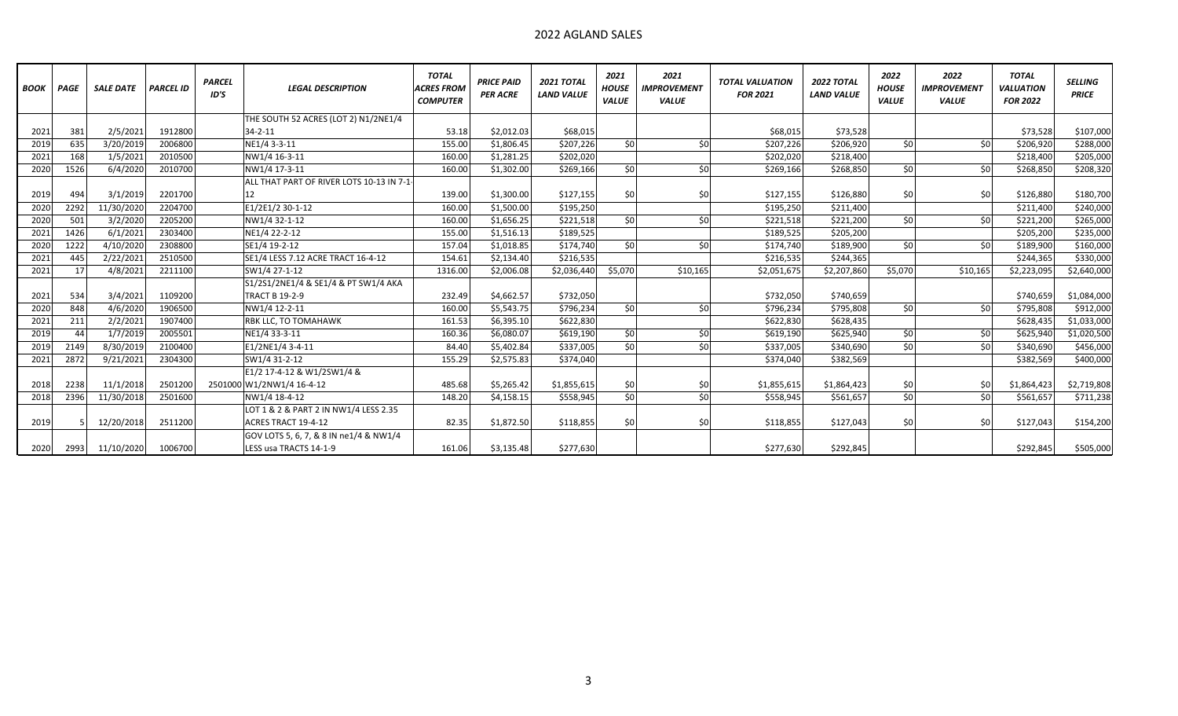## 2022 AGLAND SALES

| <b>BOOK</b> | PAGE | <b>SALE DATE</b> | <b>PARCEL ID</b> | <b>PARCEL</b><br>ID'S | <b>LEGAL DESCRIPTION</b>                 | <b>TOTAL</b><br><b>ACRES FROM</b><br><b>COMPUTER</b> | <b>PRICE PAID</b><br><b>PER ACRE</b> | <b>2021 TOTAL</b><br><b>LAND VALUE</b> | 2021<br><b>HOUSE</b><br><b>VALUE</b> | 2021<br><b>IMPROVEMENT</b><br><b>VALUE</b> | <b>TOTAL VALUATION</b><br><b>FOR 2021</b> | <b>2022 TOTAL</b><br><b>LAND VALUE</b> | 2022<br><b>HOUSE</b><br><b>VALUE</b> | 2022<br><b>IMPROVEMENT</b><br><b>VALUE</b> | <b>TOTAL</b><br><b>VALUATION</b><br><b>FOR 2022</b> | <b>SELLING</b><br><b>PRICE</b> |
|-------------|------|------------------|------------------|-----------------------|------------------------------------------|------------------------------------------------------|--------------------------------------|----------------------------------------|--------------------------------------|--------------------------------------------|-------------------------------------------|----------------------------------------|--------------------------------------|--------------------------------------------|-----------------------------------------------------|--------------------------------|
|             |      |                  |                  |                       | THE SOUTH 52 ACRES (LOT 2) N1/2NE1/4     |                                                      |                                      |                                        |                                      |                                            |                                           |                                        |                                      |                                            |                                                     |                                |
| 2021        | 381  | 2/5/2021         | 1912800          |                       | $34 - 2 - 11$                            | 53.18                                                | \$2,012.03                           | \$68,015                               |                                      |                                            | \$68,015                                  | \$73,528                               |                                      |                                            | \$73,528                                            | \$107,000                      |
| 2019        | 635  | 3/20/2019        | 2006800          |                       | NE1/4 3-3-11                             | 155.00                                               | \$1,806.45                           | \$207,226                              | \$0                                  | SO                                         | \$207,226                                 | \$206,920                              | 50                                   | \$0                                        | \$206,920                                           | \$288,000                      |
| 2021        | 168  | 1/5/2021         | 2010500          |                       | NW1/4 16-3-11                            | 160.00                                               | \$1,281.25                           | \$202,020                              |                                      |                                            | \$202,020                                 | \$218,400                              |                                      |                                            | \$218,400                                           | \$205,000                      |
| 2020        | 1526 | 6/4/2020         | 2010700          |                       | NW1/4 17-3-11                            | 160.00                                               | \$1,302.00                           | \$269,166                              | \$0                                  | \$0                                        | \$269,166                                 | \$268,850                              | 50                                   | \$0                                        | \$268,850                                           | \$208,320                      |
|             |      |                  |                  |                       | ALL THAT PART OF RIVER LOTS 10-13 IN 7-1 |                                                      |                                      |                                        |                                      |                                            |                                           |                                        |                                      |                                            |                                                     |                                |
| 2019        | 494  | 3/1/2019         | 2201700          |                       | 12                                       | 139.00                                               | \$1,300.00                           | \$127,155                              | \$0                                  | \$0                                        | \$127,155                                 | \$126.880                              | \$0                                  | \$0                                        | \$126,880                                           | \$180,700                      |
| 2020        | 2292 | 11/30/2020       | 2204700          |                       | E1/2E1/2 30-1-12                         | 160.00                                               | \$1,500.00                           | \$195,250                              |                                      |                                            | \$195,250                                 | \$211,400                              |                                      |                                            | \$211,400                                           | \$240,000                      |
| 2020        | 501  | 3/2/2020         | 2205200          |                       | NW1/4 32-1-12                            | 160.00                                               | \$1,656.25                           | \$221,518                              | \$0                                  | \$0                                        | \$221,518                                 | \$221,200                              | 50                                   | 50 <sup>1</sup>                            | \$221,200                                           | \$265,000                      |
| 2021        | 1426 | 6/1/2021         | 2303400          |                       | NE1/4 22-2-12                            | 155.00                                               | \$1,516.13                           | \$189,525                              |                                      |                                            | \$189,525                                 | \$205,200                              |                                      |                                            | \$205,200                                           | \$235,000                      |
| 2020        | 1222 | 4/10/2020        | 2308800          |                       | SE1/4 19-2-12                            | 157.04                                               | \$1,018.85                           | \$174,740                              | \$0                                  | sol                                        | \$174,740                                 | \$189,900                              | \$0                                  | \$0                                        | \$189,900                                           | \$160,000                      |
| 2021        | 445  | 2/22/2021        | 2510500          |                       | SE1/4 LESS 7.12 ACRE TRACT 16-4-12       | 154.61                                               | \$2,134.40                           | \$216,535                              |                                      |                                            | \$216,535                                 | \$244,365                              |                                      |                                            | \$244,365                                           | \$330,000                      |
| 2021        | 17   | 4/8/2021         | 2211100          |                       | SW1/4 27-1-12                            | 1316.00                                              | \$2,006.08                           | \$2,036,440                            | \$5,070                              | \$10,165                                   | \$2,051,675                               | \$2,207,860                            | \$5.070                              | \$10,165                                   | \$2,223,095                                         | \$2,640,000                    |
|             |      |                  |                  |                       | S1/2S1/2NE1/4 & SE1/4 & PT SW1/4 AKA     |                                                      |                                      |                                        |                                      |                                            |                                           |                                        |                                      |                                            |                                                     |                                |
| 2021        | 534  | 3/4/2021         | 1109200          |                       | <b>TRACT B 19-2-9</b>                    | 232.49                                               | \$4,662.57                           | \$732,050                              |                                      |                                            | \$732,050                                 | \$740,659                              |                                      |                                            | \$740,659                                           | \$1,084,000                    |
| 2020        | 848  | 4/6/2020         | 1906500          |                       | NW1/4 12-2-11                            | 160.00                                               | \$5,543.75                           | \$796,234                              | \$0                                  | \$0                                        | \$796,234                                 | \$795,808                              | 50                                   | \$0                                        | \$795,808                                           | \$912,000                      |
| 2021        | 211  | 2/2/2021         | 1907400          |                       | RBK LLC, TO TOMAHAWK                     | 161.53                                               | \$6,395.10                           | \$622,830                              |                                      |                                            | \$622,830                                 | \$628,435                              |                                      |                                            | \$628,435                                           | \$1,033,000                    |
| 2019        | 44   | 1/7/2019         | 2005501          |                       | NE1/4 33-3-11                            | 160.36                                               | \$6,080.07                           | \$619,190                              | \$0                                  | \$0                                        | \$619,190                                 | \$625,940                              | \$0                                  | \$0                                        | \$625,940                                           | \$1,020,500                    |
| 2019        | 2149 | 8/30/2019        | 2100400          |                       | E1/2NE1/4 3-4-11                         | 84.40                                                | \$5,402.84                           | \$337,005                              | \$0                                  | \$0                                        | \$337,005                                 | \$340,690                              | 50                                   | \$0                                        | \$340,690                                           | \$456,000                      |
| 2021        | 2872 | 9/21/2021        | 2304300          |                       | SW1/4 31-2-12                            | 155.29                                               | \$2,575.83                           | \$374,040                              |                                      |                                            | \$374,040                                 | \$382,569                              |                                      |                                            | \$382,569                                           | \$400,000                      |
|             |      |                  |                  |                       | E1/2 17-4-12 & W1/2SW1/4 &               |                                                      |                                      |                                        |                                      |                                            |                                           |                                        |                                      |                                            |                                                     |                                |
| 2018        | 2238 | 11/1/2018        | 2501200          |                       | 2501000 W1/2NW1/4 16-4-12                | 485.68                                               | \$5,265.42                           | \$1,855,615                            | \$0                                  | \$0                                        | \$1,855,615                               | \$1,864,423                            | \$0                                  | \$0                                        | \$1,864,423                                         | \$2,719,808                    |
| 2018        | 2396 | 11/30/2018       | 2501600          |                       | NW1/4 18-4-12                            | 148.20                                               | \$4,158.15                           | \$558,945                              | \$0                                  | \$0                                        | \$558,945                                 | \$561,657                              | \$0                                  | \$0                                        | \$561,657                                           | \$711,238                      |
|             |      |                  |                  |                       | LOT 1 & 2 & PART 2 IN NW1/4 LESS 2.35    |                                                      |                                      |                                        |                                      |                                            |                                           |                                        |                                      |                                            |                                                     |                                |
| 2019        |      | 12/20/2018       | 2511200          |                       | ACRES TRACT 19-4-12                      | 82.35                                                | \$1,872.50                           | \$118,855                              | \$0                                  | \$0                                        | \$118,855                                 | \$127,043                              | \$0                                  | \$0                                        | \$127,043                                           | \$154,200                      |
|             |      |                  |                  |                       | GOV LOTS 5, 6, 7, & 8 IN ne1/4 & NW1/4   |                                                      |                                      |                                        |                                      |                                            |                                           |                                        |                                      |                                            |                                                     |                                |
| 2020        | 2993 | 11/10/2020       | 1006700          |                       | LESS usa TRACTS 14-1-9                   | 161.06                                               | \$3,135.48                           | \$277,630                              |                                      |                                            | \$277,630                                 | \$292,845                              |                                      |                                            | \$292,845                                           | \$505,000                      |